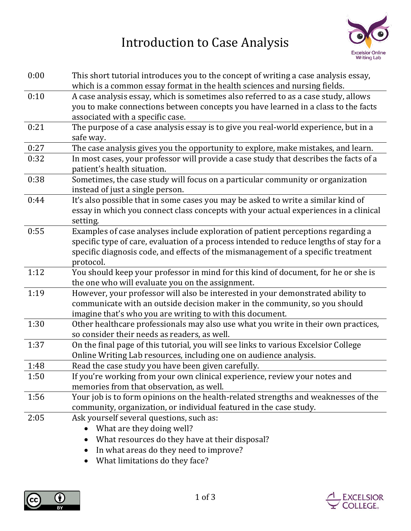## Introduction to Case Analysis



EXCELSIOR<br>COLLEGE.

| 0:00 | This short tutorial introduces you to the concept of writing a case analysis essay,<br>which is a common essay format in the health sciences and nursing fields.                                                                                                              |
|------|-------------------------------------------------------------------------------------------------------------------------------------------------------------------------------------------------------------------------------------------------------------------------------|
| 0:10 | A case analysis essay, which is sometimes also referred to as a case study, allows<br>you to make connections between concepts you have learned in a class to the facts<br>associated with a specific case.                                                                   |
| 0:21 | The purpose of a case analysis essay is to give you real-world experience, but in a<br>safe way.                                                                                                                                                                              |
| 0:27 | The case analysis gives you the opportunity to explore, make mistakes, and learn.                                                                                                                                                                                             |
| 0:32 | In most cases, your professor will provide a case study that describes the facts of a<br>patient's health situation.                                                                                                                                                          |
| 0:38 | Sometimes, the case study will focus on a particular community or organization<br>instead of just a single person.                                                                                                                                                            |
| 0:44 | It's also possible that in some cases you may be asked to write a similar kind of<br>essay in which you connect class concepts with your actual experiences in a clinical<br>setting.                                                                                         |
| 0:55 | Examples of case analyses include exploration of patient perceptions regarding a<br>specific type of care, evaluation of a process intended to reduce lengths of stay for a<br>specific diagnosis code, and effects of the mismanagement of a specific treatment<br>protocol. |
| 1:12 | You should keep your professor in mind for this kind of document, for he or she is<br>the one who will evaluate you on the assignment.                                                                                                                                        |
| 1:19 | However, your professor will also be interested in your demonstrated ability to<br>communicate with an outside decision maker in the community, so you should<br>imagine that's who you are writing to with this document.                                                    |
| 1:30 | Other healthcare professionals may also use what you write in their own practices,<br>so consider their needs as readers, as well.                                                                                                                                            |
| 1:37 | On the final page of this tutorial, you will see links to various Excelsior College<br>Online Writing Lab resources, including one on audience analysis.                                                                                                                      |
| 1:48 | Read the case study you have been given carefully.                                                                                                                                                                                                                            |
| 1:50 | If you're working from your own clinical experience, review your notes and<br>memories from that observation, as well.                                                                                                                                                        |
| 1:56 | Your job is to form opinions on the health-related strengths and weaknesses of the<br>community, organization, or individual featured in the case study.                                                                                                                      |
| 2:05 | Ask yourself several questions, such as:<br>What are they doing well?<br>What resources do they have at their disposal?<br>In what areas do they need to improve?                                                                                                             |

• What limitations do they face?

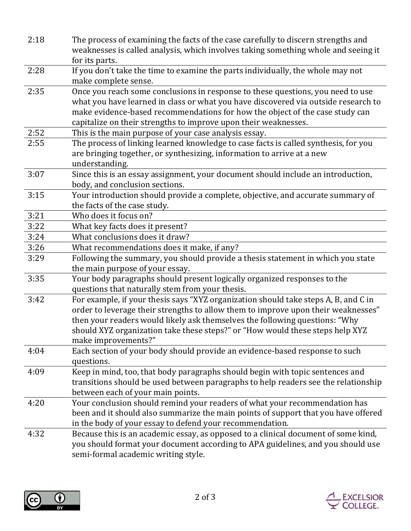| 2:18 | The process of examining the facts of the case carefully to discern strengths and<br>weaknesses is called analysis, which involves taking something whole and seeing it                                                                                                                                                                                         |
|------|-----------------------------------------------------------------------------------------------------------------------------------------------------------------------------------------------------------------------------------------------------------------------------------------------------------------------------------------------------------------|
|      | for its parts.                                                                                                                                                                                                                                                                                                                                                  |
| 2:28 | If you don't take the time to examine the parts individually, the whole may not<br>make complete sense.                                                                                                                                                                                                                                                         |
| 2:35 | Once you reach some conclusions in response to these questions, you need to use<br>what you have learned in class or what you have discovered via outside research to<br>make evidence-based recommendations for how the object of the case study can<br>capitalize on their strengths to improve upon their weaknesses.                                        |
| 2:52 | This is the main purpose of your case analysis essay.                                                                                                                                                                                                                                                                                                           |
| 2:55 | The process of linking learned knowledge to case facts is called synthesis, for you<br>are bringing together, or synthesizing, information to arrive at a new<br>understanding.                                                                                                                                                                                 |
| 3:07 | Since this is an essay assignment, your document should include an introduction,<br>body, and conclusion sections.                                                                                                                                                                                                                                              |
| 3:15 | Your introduction should provide a complete, objective, and accurate summary of<br>the facts of the case study.                                                                                                                                                                                                                                                 |
| 3:21 | Who does it focus on?                                                                                                                                                                                                                                                                                                                                           |
| 3:22 | What key facts does it present?                                                                                                                                                                                                                                                                                                                                 |
| 3:24 | What conclusions does it draw?                                                                                                                                                                                                                                                                                                                                  |
| 3:26 | What recommendations does it make, if any?                                                                                                                                                                                                                                                                                                                      |
| 3:29 | Following the summary, you should provide a thesis statement in which you state<br>the main purpose of your essay.                                                                                                                                                                                                                                              |
| 3:35 | Your body paragraphs should present logically organized responses to the<br>questions that naturally stem from your thesis.                                                                                                                                                                                                                                     |
| 3:42 | For example, if your thesis says "XYZ organization should take steps A, B, and C in<br>order to leverage their strengths to allow them to improve upon their weaknesses"<br>then your readers would likely ask themselves the following questions: "Why<br>should XYZ organization take these steps?" or "How would these steps help XYZ<br>make improvements?" |
| 4:04 | Each section of your body should provide an evidence-based response to such<br>questions.                                                                                                                                                                                                                                                                       |
| 4:09 | Keep in mind, too, that body paragraphs should begin with topic sentences and<br>transitions should be used between paragraphs to help readers see the relationship<br>between each of your main points.                                                                                                                                                        |
| 4:20 | Your conclusion should remind your readers of what your recommendation has<br>been and it should also summarize the main points of support that you have offered<br>in the body of your essay to defend your recommendation.                                                                                                                                    |
| 4:32 | Because this is an academic essay, as opposed to a clinical document of some kind,<br>you should format your document according to APA guidelines, and you should use<br>semi-formal academic writing style.                                                                                                                                                    |